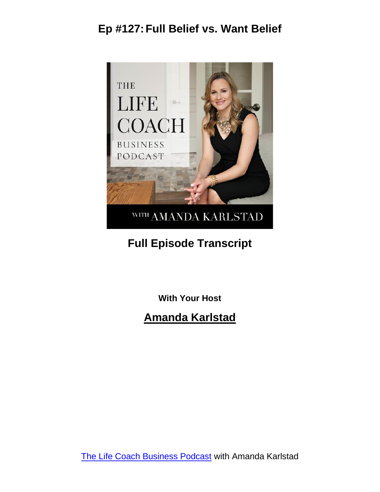

### **Full Episode Transcript**

**With Your Host**

#### **Amanda Karlstad**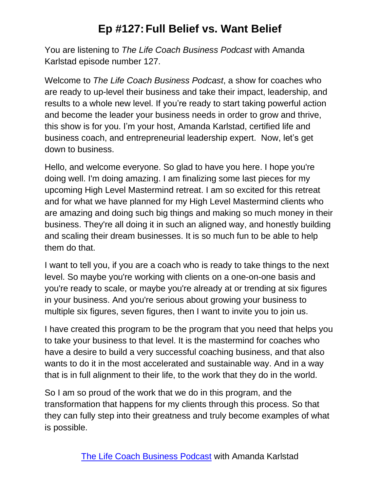You are listening to *The Life Coach Business Podcast* with Amanda Karlstad episode number 127.

Welcome to *The Life Coach Business Podcast*, a show for coaches who are ready to up-level their business and take their impact, leadership, and results to a whole new level. If you're ready to start taking powerful action and become the leader your business needs in order to grow and thrive, this show is for you. I'm your host, Amanda Karlstad, certified life and business coach, and entrepreneurial leadership expert. Now, let's get down to business.

Hello, and welcome everyone. So glad to have you here. I hope you're doing well. I'm doing amazing. I am finalizing some last pieces for my upcoming High Level Mastermind retreat. I am so excited for this retreat and for what we have planned for my High Level Mastermind clients who are amazing and doing such big things and making so much money in their business. They're all doing it in such an aligned way, and honestly building and scaling their dream businesses. It is so much fun to be able to help them do that.

I want to tell you, if you are a coach who is ready to take things to the next level. So maybe you're working with clients on a one-on-one basis and you're ready to scale, or maybe you're already at or trending at six figures in your business. And you're serious about growing your business to multiple six figures, seven figures, then I want to invite you to join us.

I have created this program to be the program that you need that helps you to take your business to that level. It is the mastermind for coaches who have a desire to build a very successful coaching business, and that also wants to do it in the most accelerated and sustainable way. And in a way that is in full alignment to their life, to the work that they do in the world.

So I am so proud of the work that we do in this program, and the transformation that happens for my clients through this process. So that they can fully step into their greatness and truly become examples of what is possible.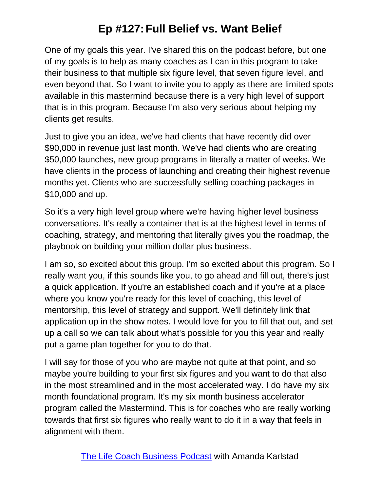One of my goals this year. I've shared this on the podcast before, but one of my goals is to help as many coaches as I can in this program to take their business to that multiple six figure level, that seven figure level, and even beyond that. So I want to invite you to apply as there are limited spots available in this mastermind because there is a very high level of support that is in this program. Because I'm also very serious about helping my clients get results.

Just to give you an idea, we've had clients that have recently did over \$90,000 in revenue just last month. We've had clients who are creating \$50,000 launches, new group programs in literally a matter of weeks. We have clients in the process of launching and creating their highest revenue months yet. Clients who are successfully selling coaching packages in \$10,000 and up.

So it's a very high level group where we're having higher level business conversations. It's really a container that is at the highest level in terms of coaching, strategy, and mentoring that literally gives you the roadmap, the playbook on building your million dollar plus business.

I am so, so excited about this group. I'm so excited about this program. So I really want you, if this sounds like you, to go ahead and fill out, there's just a quick application. If you're an established coach and if you're at a place where you know you're ready for this level of coaching, this level of mentorship, this level of strategy and support. We'll definitely link that application up in the show notes. I would love for you to fill that out, and set up a call so we can talk about what's possible for you this year and really put a game plan together for you to do that.

I will say for those of you who are maybe not quite at that point, and so maybe you're building to your first six figures and you want to do that also in the most streamlined and in the most accelerated way. I do have my six month foundational program. It's my six month business accelerator program called the Mastermind. This is for coaches who are really working towards that first six figures who really want to do it in a way that feels in alignment with them.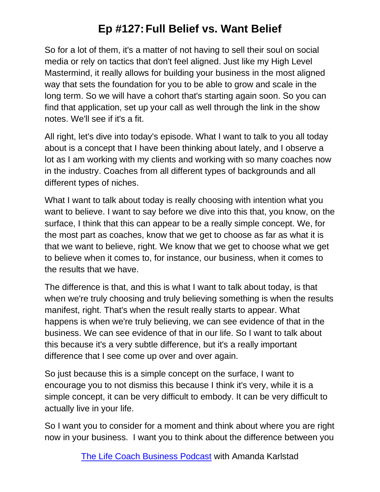So for a lot of them, it's a matter of not having to sell their soul on social media or rely on tactics that don't feel aligned. Just like my High Level Mastermind, it really allows for building your business in the most aligned way that sets the foundation for you to be able to grow and scale in the long term. So we will have a cohort that's starting again soon. So you can find that application, set up your call as well through the link in the show notes. We'll see if it's a fit.

All right, let's dive into today's episode. What I want to talk to you all today about is a concept that I have been thinking about lately, and I observe a lot as I am working with my clients and working with so many coaches now in the industry. Coaches from all different types of backgrounds and all different types of niches.

What I want to talk about today is really choosing with intention what you want to believe. I want to say before we dive into this that, you know, on the surface, I think that this can appear to be a really simple concept. We, for the most part as coaches, know that we get to choose as far as what it is that we want to believe, right. We know that we get to choose what we get to believe when it comes to, for instance, our business, when it comes to the results that we have.

The difference is that, and this is what I want to talk about today, is that when we're truly choosing and truly believing something is when the results manifest, right. That's when the result really starts to appear. What happens is when we're truly believing, we can see evidence of that in the business. We can see evidence of that in our life. So I want to talk about this because it's a very subtle difference, but it's a really important difference that I see come up over and over again.

So just because this is a simple concept on the surface, I want to encourage you to not dismiss this because I think it's very, while it is a simple concept, it can be very difficult to embody. It can be very difficult to actually live in your life.

So I want you to consider for a moment and think about where you are right now in your business. I want you to think about the difference between you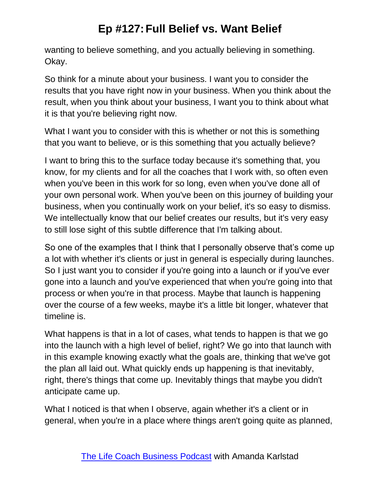wanting to believe something, and you actually believing in something. Okay.

So think for a minute about your business. I want you to consider the results that you have right now in your business. When you think about the result, when you think about your business, I want you to think about what it is that you're believing right now.

What I want you to consider with this is whether or not this is something that you want to believe, or is this something that you actually believe?

I want to bring this to the surface today because it's something that, you know, for my clients and for all the coaches that I work with, so often even when you've been in this work for so long, even when you've done all of your own personal work. When you've been on this journey of building your business, when you continually work on your belief, it's so easy to dismiss. We intellectually know that our belief creates our results, but it's very easy to still lose sight of this subtle difference that I'm talking about.

So one of the examples that I think that I personally observe that's come up a lot with whether it's clients or just in general is especially during launches. So I just want you to consider if you're going into a launch or if you've ever gone into a launch and you've experienced that when you're going into that process or when you're in that process. Maybe that launch is happening over the course of a few weeks, maybe it's a little bit longer, whatever that timeline is.

What happens is that in a lot of cases, what tends to happen is that we go into the launch with a high level of belief, right? We go into that launch with in this example knowing exactly what the goals are, thinking that we've got the plan all laid out. What quickly ends up happening is that inevitably, right, there's things that come up. Inevitably things that maybe you didn't anticipate came up.

What I noticed is that when I observe, again whether it's a client or in general, when you're in a place where things aren't going quite as planned,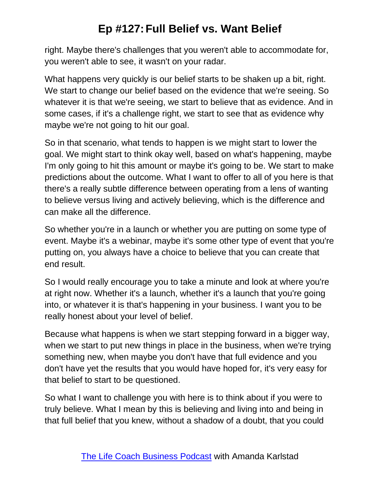right. Maybe there's challenges that you weren't able to accommodate for, you weren't able to see, it wasn't on your radar.

What happens very quickly is our belief starts to be shaken up a bit, right. We start to change our belief based on the evidence that we're seeing. So whatever it is that we're seeing, we start to believe that as evidence. And in some cases, if it's a challenge right, we start to see that as evidence why maybe we're not going to hit our goal.

So in that scenario, what tends to happen is we might start to lower the goal. We might start to think okay well, based on what's happening, maybe I'm only going to hit this amount or maybe it's going to be. We start to make predictions about the outcome. What I want to offer to all of you here is that there's a really subtle difference between operating from a lens of wanting to believe versus living and actively believing, which is the difference and can make all the difference.

So whether you're in a launch or whether you are putting on some type of event. Maybe it's a webinar, maybe it's some other type of event that you're putting on, you always have a choice to believe that you can create that end result.

So I would really encourage you to take a minute and look at where you're at right now. Whether it's a launch, whether it's a launch that you're going into, or whatever it is that's happening in your business. I want you to be really honest about your level of belief.

Because what happens is when we start stepping forward in a bigger way, when we start to put new things in place in the business, when we're trying something new, when maybe you don't have that full evidence and you don't have yet the results that you would have hoped for, it's very easy for that belief to start to be questioned.

So what I want to challenge you with here is to think about if you were to truly believe. What I mean by this is believing and living into and being in that full belief that you knew, without a shadow of a doubt, that you could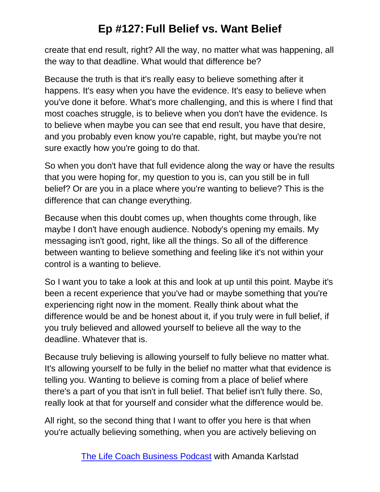create that end result, right? All the way, no matter what was happening, all the way to that deadline. What would that difference be?

Because the truth is that it's really easy to believe something after it happens. It's easy when you have the evidence. It's easy to believe when you've done it before. What's more challenging, and this is where I find that most coaches struggle, is to believe when you don't have the evidence. Is to believe when maybe you can see that end result, you have that desire, and you probably even know you're capable, right, but maybe you're not sure exactly how you're going to do that.

So when you don't have that full evidence along the way or have the results that you were hoping for, my question to you is, can you still be in full belief? Or are you in a place where you're wanting to believe? This is the difference that can change everything.

Because when this doubt comes up, when thoughts come through, like maybe I don't have enough audience. Nobody's opening my emails. My messaging isn't good, right, like all the things. So all of the difference between wanting to believe something and feeling like it's not within your control is a wanting to believe.

So I want you to take a look at this and look at up until this point. Maybe it's been a recent experience that you've had or maybe something that you're experiencing right now in the moment. Really think about what the difference would be and be honest about it, if you truly were in full belief, if you truly believed and allowed yourself to believe all the way to the deadline. Whatever that is.

Because truly believing is allowing yourself to fully believe no matter what. It's allowing yourself to be fully in the belief no matter what that evidence is telling you. Wanting to believe is coming from a place of belief where there's a part of you that isn't in full belief. That belief isn't fully there. So, really look at that for yourself and consider what the difference would be.

All right, so the second thing that I want to offer you here is that when you're actually believing something, when you are actively believing on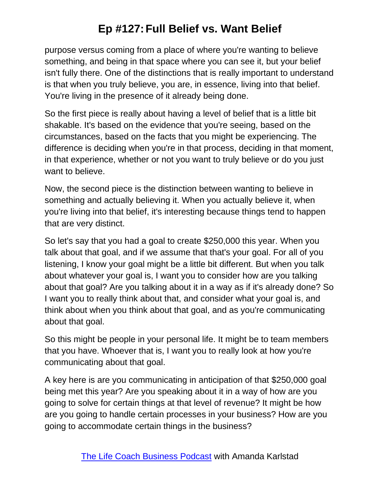purpose versus coming from a place of where you're wanting to believe something, and being in that space where you can see it, but your belief isn't fully there. One of the distinctions that is really important to understand is that when you truly believe, you are, in essence, living into that belief. You're living in the presence of it already being done.

So the first piece is really about having a level of belief that is a little bit shakable. It's based on the evidence that you're seeing, based on the circumstances, based on the facts that you might be experiencing. The difference is deciding when you're in that process, deciding in that moment, in that experience, whether or not you want to truly believe or do you just want to believe.

Now, the second piece is the distinction between wanting to believe in something and actually believing it. When you actually believe it, when you're living into that belief, it's interesting because things tend to happen that are very distinct.

So let's say that you had a goal to create \$250,000 this year. When you talk about that goal, and if we assume that that's your goal. For all of you listening, I know your goal might be a little bit different. But when you talk about whatever your goal is, I want you to consider how are you talking about that goal? Are you talking about it in a way as if it's already done? So I want you to really think about that, and consider what your goal is, and think about when you think about that goal, and as you're communicating about that goal.

So this might be people in your personal life. It might be to team members that you have. Whoever that is, I want you to really look at how you're communicating about that goal.

A key here is are you communicating in anticipation of that \$250,000 goal being met this year? Are you speaking about it in a way of how are you going to solve for certain things at that level of revenue? It might be how are you going to handle certain processes in your business? How are you going to accommodate certain things in the business?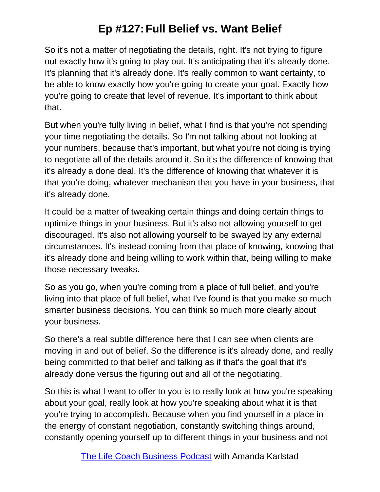So it's not a matter of negotiating the details, right. It's not trying to figure out exactly how it's going to play out. It's anticipating that it's already done. It's planning that it's already done. It's really common to want certainty, to be able to know exactly how you're going to create your goal. Exactly how you're going to create that level of revenue. It's important to think about that.

But when you're fully living in belief, what I find is that you're not spending your time negotiating the details. So I'm not talking about not looking at your numbers, because that's important, but what you're not doing is trying to negotiate all of the details around it. So it's the difference of knowing that it's already a done deal. It's the difference of knowing that whatever it is that you're doing, whatever mechanism that you have in your business, that it's already done.

It could be a matter of tweaking certain things and doing certain things to optimize things in your business. But it's also not allowing yourself to get discouraged. It's also not allowing yourself to be swayed by any external circumstances. It's instead coming from that place of knowing, knowing that it's already done and being willing to work within that, being willing to make those necessary tweaks.

So as you go, when you're coming from a place of full belief, and you're living into that place of full belief, what I've found is that you make so much smarter business decisions. You can think so much more clearly about your business.

So there's a real subtle difference here that I can see when clients are moving in and out of belief. So the difference is it's already done, and really being committed to that belief and talking as if that's the goal that it's already done versus the figuring out and all of the negotiating.

So this is what I want to offer to you is to really look at how you're speaking about your goal, really look at how you're speaking about what it is that you're trying to accomplish. Because when you find yourself in a place in the energy of constant negotiation, constantly switching things around, constantly opening yourself up to different things in your business and not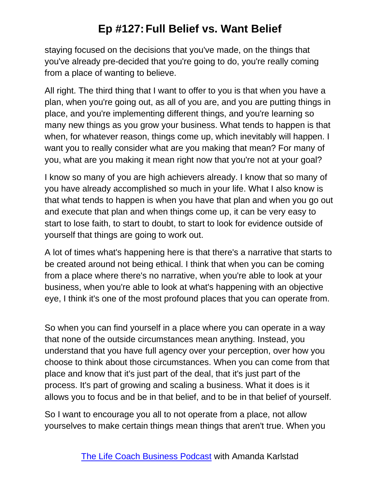staying focused on the decisions that you've made, on the things that you've already pre-decided that you're going to do, you're really coming from a place of wanting to believe.

All right. The third thing that I want to offer to you is that when you have a plan, when you're going out, as all of you are, and you are putting things in place, and you're implementing different things, and you're learning so many new things as you grow your business. What tends to happen is that when, for whatever reason, things come up, which inevitably will happen. I want you to really consider what are you making that mean? For many of you, what are you making it mean right now that you're not at your goal?

I know so many of you are high achievers already. I know that so many of you have already accomplished so much in your life. What I also know is that what tends to happen is when you have that plan and when you go out and execute that plan and when things come up, it can be very easy to start to lose faith, to start to doubt, to start to look for evidence outside of yourself that things are going to work out.

A lot of times what's happening here is that there's a narrative that starts to be created around not being ethical. I think that when you can be coming from a place where there's no narrative, when you're able to look at your business, when you're able to look at what's happening with an objective eye, I think it's one of the most profound places that you can operate from.

So when you can find yourself in a place where you can operate in a way that none of the outside circumstances mean anything. Instead, you understand that you have full agency over your perception, over how you choose to think about those circumstances. When you can come from that place and know that it's just part of the deal, that it's just part of the process. It's part of growing and scaling a business. What it does is it allows you to focus and be in that belief, and to be in that belief of yourself.

So I want to encourage you all to not operate from a place, not allow yourselves to make certain things mean things that aren't true. When you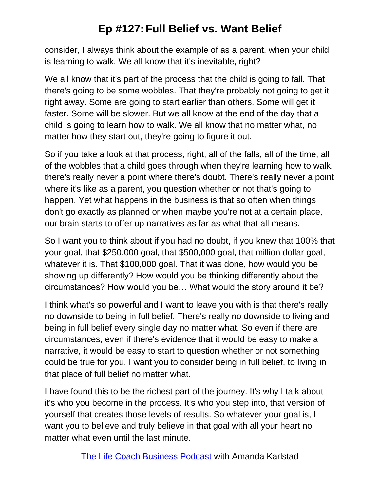consider, I always think about the example of as a parent, when your child is learning to walk. We all know that it's inevitable, right?

We all know that it's part of the process that the child is going to fall. That there's going to be some wobbles. That they're probably not going to get it right away. Some are going to start earlier than others. Some will get it faster. Some will be slower. But we all know at the end of the day that a child is going to learn how to walk. We all know that no matter what, no matter how they start out, they're going to figure it out.

So if you take a look at that process, right, all of the falls, all of the time, all of the wobbles that a child goes through when they're learning how to walk, there's really never a point where there's doubt. There's really never a point where it's like as a parent, you question whether or not that's going to happen. Yet what happens in the business is that so often when things don't go exactly as planned or when maybe you're not at a certain place, our brain starts to offer up narratives as far as what that all means.

So I want you to think about if you had no doubt, if you knew that 100% that your goal, that \$250,000 goal, that \$500,000 goal, that million dollar goal, whatever it is. That \$100,000 goal. That it was done, how would you be showing up differently? How would you be thinking differently about the circumstances? How would you be… What would the story around it be?

I think what's so powerful and I want to leave you with is that there's really no downside to being in full belief. There's really no downside to living and being in full belief every single day no matter what. So even if there are circumstances, even if there's evidence that it would be easy to make a narrative, it would be easy to start to question whether or not something could be true for you, I want you to consider being in full belief, to living in that place of full belief no matter what.

I have found this to be the richest part of the journey. It's why I talk about it's who you become in the process. It's who you step into, that version of yourself that creates those levels of results. So whatever your goal is, I want you to believe and truly believe in that goal with all your heart no matter what even until the last minute.